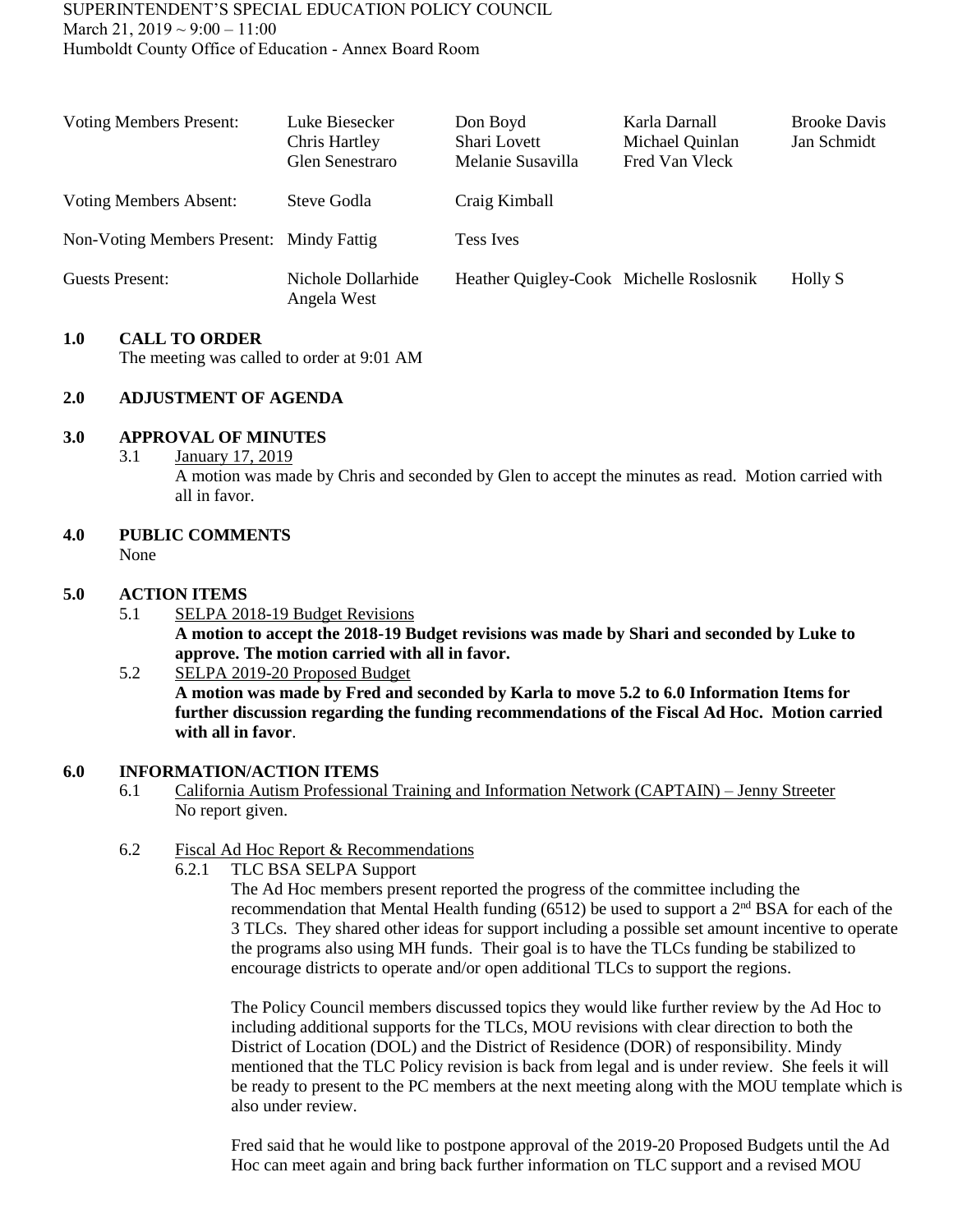| <b>Voting Members Present:</b>           | Luke Biesecker<br>Chris Hartley<br>Glen Senestraro | Don Boyd<br>Shari Lovett<br>Melanie Susavilla | Karla Darnall<br>Michael Quinlan<br>Fred Van Vleck | <b>Brooke Davis</b><br>Jan Schmidt |
|------------------------------------------|----------------------------------------------------|-----------------------------------------------|----------------------------------------------------|------------------------------------|
| Voting Members Absent:                   | Steve Godla                                        | Craig Kimball                                 |                                                    |                                    |
| Non-Voting Members Present: Mindy Fattig |                                                    | <b>Tess Ives</b>                              |                                                    |                                    |
| <b>Guests Present:</b>                   | Nichole Dollarhide<br>Angela West                  | Heather Quigley-Cook Michelle Roslosnik       |                                                    | Holly S                            |

### **1.0 CALL TO ORDER**

The meeting was called to order at 9:01 AM

### **2.0 ADJUSTMENT OF AGENDA**

#### **3.0 APPROVAL OF MINUTES**

3.1 January 17, 2019

A motion was made by Chris and seconded by Glen to accept the minutes as read. Motion carried with all in favor.

# **4.0 PUBLIC COMMENTS**

None

### **5.0 ACTION ITEMS**

5.1 SELPA 2018-19 Budget Revisions **A motion to accept the 2018-19 Budget revisions was made by Shari and seconded by Luke to approve. The motion carried with all in favor.** 

### 5.2 SELPA 2019-20 Proposed Budget **A motion was made by Fred and seconded by Karla to move 5.2 to 6.0 Information Items for further discussion regarding the funding recommendations of the Fiscal Ad Hoc. Motion carried with all in favor**.

### **6.0 INFORMATION/ACTION ITEMS**

6.1 California Autism Professional Training and Information Network (CAPTAIN) – Jenny Streeter No report given.

### 6.2 Fiscal Ad Hoc Report & Recommendations

6.2.1 TLC BSA SELPA Support

The Ad Hoc members present reported the progress of the committee including the recommendation that Mental Health funding (6512) be used to support a  $2<sup>nd</sup> BSA$  for each of the 3 TLCs. They shared other ideas for support including a possible set amount incentive to operate the programs also using MH funds. Their goal is to have the TLCs funding be stabilized to encourage districts to operate and/or open additional TLCs to support the regions.

The Policy Council members discussed topics they would like further review by the Ad Hoc to including additional supports for the TLCs, MOU revisions with clear direction to both the District of Location (DOL) and the District of Residence (DOR) of responsibility. Mindy mentioned that the TLC Policy revision is back from legal and is under review. She feels it will be ready to present to the PC members at the next meeting along with the MOU template which is also under review.

Fred said that he would like to postpone approval of the 2019-20 Proposed Budgets until the Ad Hoc can meet again and bring back further information on TLC support and a revised MOU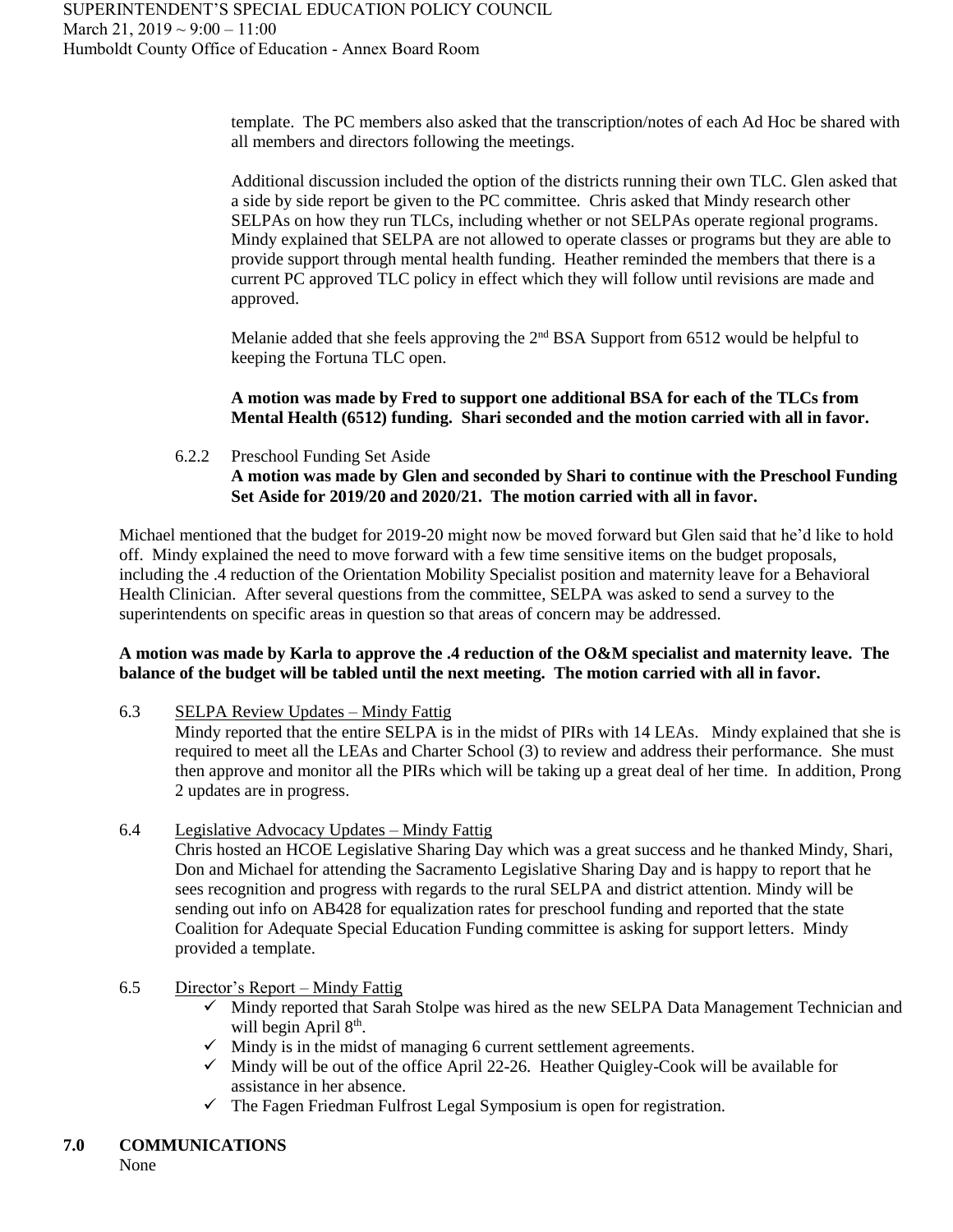template. The PC members also asked that the transcription/notes of each Ad Hoc be shared with all members and directors following the meetings.

Additional discussion included the option of the districts running their own TLC. Glen asked that a side by side report be given to the PC committee. Chris asked that Mindy research other SELPAs on how they run TLCs, including whether or not SELPAs operate regional programs. Mindy explained that SELPA are not allowed to operate classes or programs but they are able to provide support through mental health funding. Heather reminded the members that there is a current PC approved TLC policy in effect which they will follow until revisions are made and approved.

Melanie added that she feels approving the 2<sup>nd</sup> BSA Support from 6512 would be helpful to keeping the Fortuna TLC open.

**A motion was made by Fred to support one additional BSA for each of the TLCs from Mental Health (6512) funding. Shari seconded and the motion carried with all in favor.**

# 6.2.2 Preschool Funding Set Aside **A motion was made by Glen and seconded by Shari to continue with the Preschool Funding Set Aside for 2019/20 and 2020/21. The motion carried with all in favor.**

Michael mentioned that the budget for 2019-20 might now be moved forward but Glen said that he'd like to hold off. Mindy explained the need to move forward with a few time sensitive items on the budget proposals, including the .4 reduction of the Orientation Mobility Specialist position and maternity leave for a Behavioral Health Clinician. After several questions from the committee, SELPA was asked to send a survey to the superintendents on specific areas in question so that areas of concern may be addressed.

### **A motion was made by Karla to approve the .4 reduction of the O&M specialist and maternity leave. The balance of the budget will be tabled until the next meeting. The motion carried with all in favor.**

6.3 SELPA Review Updates – Mindy Fattig

Mindy reported that the entire SELPA is in the midst of PIRs with 14 LEAs. Mindy explained that she is required to meet all the LEAs and Charter School (3) to review and address their performance. She must then approve and monitor all the PIRs which will be taking up a great deal of her time. In addition, Prong 2 updates are in progress.

6.4 Legislative Advocacy Updates – Mindy Fattig

Chris hosted an HCOE Legislative Sharing Day which was a great success and he thanked Mindy, Shari, Don and Michael for attending the Sacramento Legislative Sharing Day and is happy to report that he sees recognition and progress with regards to the rural SELPA and district attention. Mindy will be sending out info on AB428 for equalization rates for preschool funding and reported that the state Coalition for Adequate Special Education Funding committee is asking for support letters. Mindy provided a template.

### 6.5 Director's Report – Mindy Fattig

- $\checkmark$  Mindy reported that Sarah Stolpe was hired as the new SELPA Data Management Technician and will begin April 8<sup>th</sup>.
- $\checkmark$  Mindy is in the midst of managing 6 current settlement agreements.
- $\checkmark$  Mindy will be out of the office April 22-26. Heather Quigley-Cook will be available for assistance in her absence.
- $\checkmark$  The Fagen Friedman Fulfrost Legal Symposium is open for registration.

None